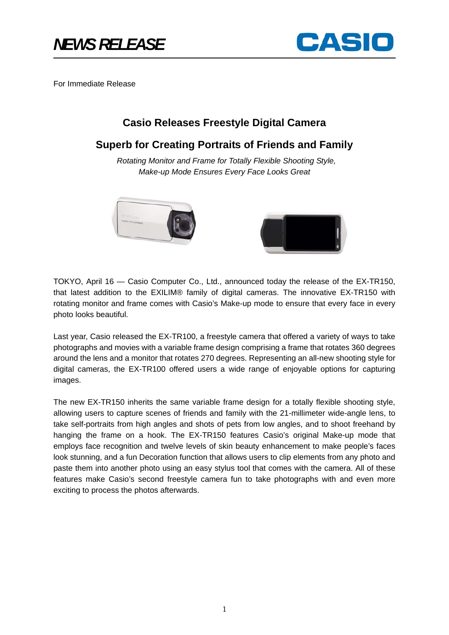

For Immediate Release

# **Casio Releases Freestyle Digital Camera**

## **Superb for Creating Portraits of Friends and Family**

 *Rotating Monitor and Frame for Totally Flexible Shooting Style, Make-up Mode Ensures Every Face Looks Great*



TOKYO, April 16 — Casio Computer Co., Ltd., announced today the release of the EX-TR150, that latest addition to the EXILIM® family of digital cameras. The innovative EX-TR150 with rotating monitor and frame comes with Casio's Make-up mode to ensure that every face in every photo looks beautiful.

Last year, Casio released the EX-TR100, a freestyle camera that offered a variety of ways to take photographs and movies with a variable frame design comprising a frame that rotates 360 degrees around the lens and a monitor that rotates 270 degrees. Representing an all-new shooting style for digital cameras, the EX-TR100 offered users a wide range of enjoyable options for capturing images.

The new EX-TR150 inherits the same variable frame design for a totally flexible shooting style, allowing users to capture scenes of friends and family with the 21-millimeter wide-angle lens, to take self-portraits from high angles and shots of pets from low angles, and to shoot freehand by hanging the frame on a hook. The EX-TR150 features Casio's original Make-up mode that employs face recognition and twelve levels of skin beauty enhancement to make people's faces look stunning, and a fun Decoration function that allows users to clip elements from any photo and paste them into another photo using an easy stylus tool that comes with the camera. All of these features make Casio's second freestyle camera fun to take photographs with and even more exciting to process the photos afterwards.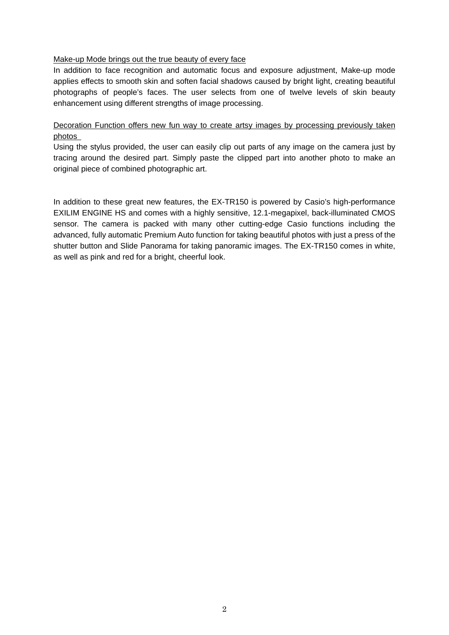#### Make-up Mode brings out the true beauty of every face

In addition to face recognition and automatic focus and exposure adjustment, Make-up mode applies effects to smooth skin and soften facial shadows caused by bright light, creating beautiful photographs of people's faces. The user selects from one of twelve levels of skin beauty enhancement using different strengths of image processing.

## Decoration Function offers new fun way to create artsy images by processing previously taken photos

Using the stylus provided, the user can easily clip out parts of any image on the camera just by tracing around the desired part. Simply paste the clipped part into another photo to make an original piece of combined photographic art.

In addition to these great new features, the EX-TR150 is powered by Casio's high-performance EXILIM ENGINE HS and comes with a highly sensitive, 12.1-megapixel, back-illuminated CMOS sensor. The camera is packed with many other cutting-edge Casio functions including the advanced, fully automatic Premium Auto function for taking beautiful photos with just a press of the shutter button and Slide Panorama for taking panoramic images. The EX-TR150 comes in white, as well as pink and red for a bright, cheerful look.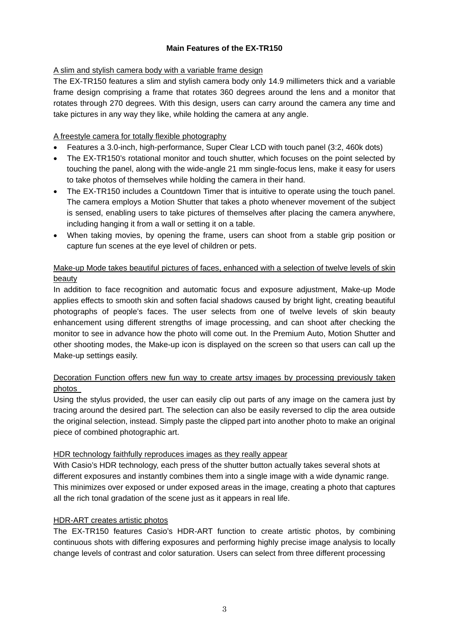## **Main Features of the EX-TR150**

## A slim and stylish camera body with a variable frame design

The EX-TR150 features a slim and stylish camera body only 14.9 millimeters thick and a variable frame design comprising a frame that rotates 360 degrees around the lens and a monitor that rotates through 270 degrees. With this design, users can carry around the camera any time and take pictures in any way they like, while holding the camera at any angle.

## A freestyle camera for totally flexible photography

- Features a 3.0-inch, high-performance, Super Clear LCD with touch panel (3:2, 460k dots)
- The EX-TR150's rotational monitor and touch shutter, which focuses on the point selected by touching the panel, along with the wide-angle 21 mm single-focus lens, make it easy for users to take photos of themselves while holding the camera in their hand.
- The EX-TR150 includes a Countdown Timer that is intuitive to operate using the touch panel. The camera employs a Motion Shutter that takes a photo whenever movement of the subject is sensed, enabling users to take pictures of themselves after placing the camera anywhere, including hanging it from a wall or setting it on a table.
- When taking movies, by opening the frame, users can shoot from a stable grip position or capture fun scenes at the eye level of children or pets.

## Make-up Mode takes beautiful pictures of faces, enhanced with a selection of twelve levels of skin beauty

In addition to face recognition and automatic focus and exposure adjustment, Make-up Mode applies effects to smooth skin and soften facial shadows caused by bright light, creating beautiful photographs of people's faces. The user selects from one of twelve levels of skin beauty enhancement using different strengths of image processing, and can shoot after checking the monitor to see in advance how the photo will come out. In the Premium Auto, Motion Shutter and other shooting modes, the Make-up icon is displayed on the screen so that users can call up the Make-up settings easily.

## Decoration Function offers new fun way to create artsy images by processing previously taken photos

Using the stylus provided, the user can easily clip out parts of any image on the camera just by tracing around the desired part. The selection can also be easily reversed to clip the area outside the original selection, instead. Simply paste the clipped part into another photo to make an original piece of combined photographic art.

## HDR technology faithfully reproduces images as they really appear

With Casio's HDR technology, each press of the shutter button actually takes several shots at different exposures and instantly combines them into a single image with a wide dynamic range. This minimizes over exposed or under exposed areas in the image, creating a photo that captures all the rich tonal gradation of the scene just as it appears in real life.

## HDR-ART creates artistic photos

The EX-TR150 features Casio's HDR-ART function to create artistic photos, by combining continuous shots with differing exposures and performing highly precise image analysis to locally change levels of contrast and color saturation. Users can select from three different processing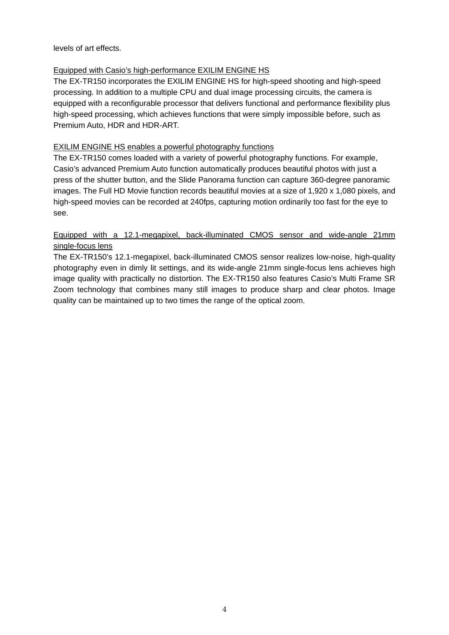levels of art effects.

## Equipped with Casio's high-performance EXILIM ENGINE HS

The EX-TR150 incorporates the EXILIM ENGINE HS for high-speed shooting and high-speed processing. In addition to a multiple CPU and dual image processing circuits, the camera is equipped with a reconfigurable processor that delivers functional and performance flexibility plus high-speed processing, which achieves functions that were simply impossible before, such as Premium Auto, HDR and HDR-ART.

## EXILIM ENGINE HS enables a powerful photography functions

The EX-TR150 comes loaded with a variety of powerful photography functions. For example, Casio's advanced Premium Auto function automatically produces beautiful photos with just a press of the shutter button, and the Slide Panorama function can capture 360-degree panoramic images. The Full HD Movie function records beautiful movies at a size of 1,920 x 1,080 pixels, and high-speed movies can be recorded at 240fps, capturing motion ordinarily too fast for the eye to see.

## Equipped with a 12.1-megapixel, back-illuminated CMOS sensor and wide-angle 21mm single-focus lens

The EX-TR150's 12.1-megapixel, back-illuminated CMOS sensor realizes low-noise, high-quality photography even in dimly lit settings, and its wide-angle 21mm single-focus lens achieves high image quality with practically no distortion. The EX-TR150 also features Casio's Multi Frame SR Zoom technology that combines many still images to produce sharp and clear photos. Image quality can be maintained up to two times the range of the optical zoom.